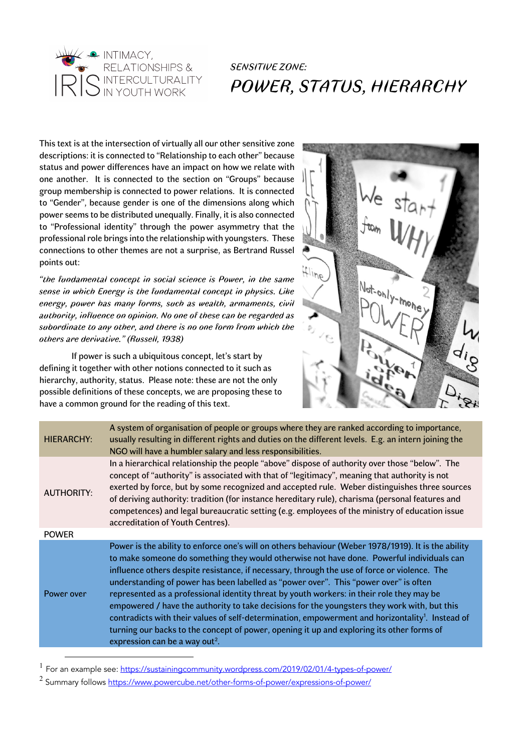

This text is at the intersection of virtually all our other sensitive zone descriptions: it is connected to "Relationship to each other" because status and power differences have an impact on how we relate with one another. It is connected to the section on "Groups" because group membership is connected to power relations. It is connected to "Gender", because gender is one of the dimensions along which power seems to be distributed unequally. Finally, it is also connected to "Professional identity" through the power asymmetry that the professional role brings into the relationship with youngsters. These connections to other themes are not a surprise, as Bertrand Russel points out:

*"the fundamental concept in social science is Power, in the same sense in which Energy is the fundamental concept in physics. Like energy, power has many forms, such as wealth, armaments, civil authority, influence on opinion. No one of these can be regarded as subordinate to any other, and there is no one form from which the others are derivative." (Russell, 1938)*

If power is such a ubiquitous concept, let's start by defining it together with other notions connected to it such as hierarchy, authority, status. Please note: these are not the only possible definitions of these concepts, we are proposing these to have a common ground for the reading of this text.



| <b>HIERARCHY:</b> | A system of organisation of people or groups where they are ranked according to importance,<br>usually resulting in different rights and duties on the different levels. E.g. an intern joining the<br>NGO will have a humbler salary and less responsibilities.                                                                                                                                                                                                                                                                                                                                                                                                                                                                                                                                                                                 |  |
|-------------------|--------------------------------------------------------------------------------------------------------------------------------------------------------------------------------------------------------------------------------------------------------------------------------------------------------------------------------------------------------------------------------------------------------------------------------------------------------------------------------------------------------------------------------------------------------------------------------------------------------------------------------------------------------------------------------------------------------------------------------------------------------------------------------------------------------------------------------------------------|--|
| <b>AUTHORITY:</b> | In a hierarchical relationship the people "above" dispose of authority over those "below". The<br>concept of "authority" is associated with that of "legitimacy", meaning that authority is not<br>exerted by force, but by some recognized and accepted rule. Weber distinguishes three sources<br>of deriving authority: tradition (for instance hereditary rule), charisma (personal features and<br>competences) and legal bureaucratic setting (e.g. employees of the ministry of education issue<br>accreditation of Youth Centres).                                                                                                                                                                                                                                                                                                       |  |
| <b>POWER</b>      |                                                                                                                                                                                                                                                                                                                                                                                                                                                                                                                                                                                                                                                                                                                                                                                                                                                  |  |
| Power over        | Power is the ability to enforce one's will on others behaviour (Weber 1978/1919). It is the ability<br>to make someone do something they would otherwise not have done. Powerful individuals can<br>influence others despite resistance, if necessary, through the use of force or violence. The<br>understanding of power has been labelled as "power over". This "power over" is often<br>represented as a professional identity threat by youth workers: in their role they may be<br>empowered / have the authority to take decisions for the youngsters they work with, but this<br>contradicts with their values of self-determination, empowerment and horizontality <sup>1</sup> . Instead of<br>turning our backs to the concept of power, opening it up and exploring its other forms of<br>expression can be a way out <sup>2</sup> . |  |
|                   |                                                                                                                                                                                                                                                                                                                                                                                                                                                                                                                                                                                                                                                                                                                                                                                                                                                  |  |

<sup>1</sup> For an example see: https://sustainingcommunity.wordpress.com/2019/02/01/4-types-of-power/

<sup>2</sup> Summary follows https://www.powercube.net/other-forms-of-power/expressions-of-power/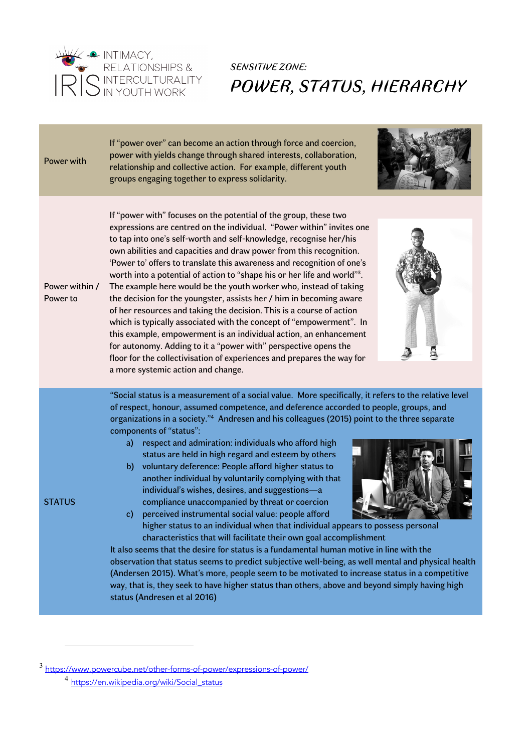

| Power with                 | If "power over" can become an action through force and coercion,<br>power with yields change through shared interests, collaboration,<br>relationship and collective action. For example, different youth<br>groups engaging together to express solidarity.                                                                                                                                                                                                                                                                                                                                                                                                                                                                                                                                                                                                                                                                                                                                                                                                                                                                                                                                                                                                                                                                                         |
|----------------------------|------------------------------------------------------------------------------------------------------------------------------------------------------------------------------------------------------------------------------------------------------------------------------------------------------------------------------------------------------------------------------------------------------------------------------------------------------------------------------------------------------------------------------------------------------------------------------------------------------------------------------------------------------------------------------------------------------------------------------------------------------------------------------------------------------------------------------------------------------------------------------------------------------------------------------------------------------------------------------------------------------------------------------------------------------------------------------------------------------------------------------------------------------------------------------------------------------------------------------------------------------------------------------------------------------------------------------------------------------|
| Power within /<br>Power to | If "power with" focuses on the potential of the group, these two<br>expressions are centred on the individual. "Power within" invites one<br>to tap into one's self-worth and self-knowledge, recognise her/his<br>own abilities and capacities and draw power from this recognition.<br>'Power to' offers to translate this awareness and recognition of one's<br>worth into a potential of action to "shape his or her life and world" <sup>3</sup> .<br>The example here would be the youth worker who, instead of taking<br>the decision for the youngster, assists her / him in becoming aware<br>of her resources and taking the decision. This is a course of action<br>which is typically associated with the concept of "empowerment". In<br>this example, empowerment is an individual action, an enhancement<br>for autonomy. Adding to it a "power with" perspective opens the<br>floor for the collectivisation of experiences and prepares the way for<br>a more systemic action and change.                                                                                                                                                                                                                                                                                                                                           |
| <b>STATUS</b>              | "Social status is a measurement of a social value. More specifically, it refers to the relative level<br>of respect, honour, assumed competence, and deference accorded to people, groups, and<br>organizations in a society." <sup>4</sup> Andresen and his colleagues (2015) point to the three separate<br>components of "status":<br>respect and admiration: individuals who afford high<br>a)<br>status are held in high regard and esteem by others<br>b) voluntary deference: People afford higher status to<br>another individual by voluntarily complying with that<br>individual's wishes, desires, and suggestions-a<br>compliance unaccompanied by threat or coercion<br>perceived instrumental social value: people afford<br>$\mathbf{c}$<br>higher status to an individual when that individual appears to possess personal<br>characteristics that will facilitate their own goal accomplishment<br>It also seems that the desire for status is a fundamental human motive in line with the<br>observation that status seems to predict subjective well-being, as well mental and physical health<br>(Andersen 2015). What's more, people seem to be motivated to increase status in a competitive<br>way, that is, they seek to have higher status than others, above and beyond simply having high<br>status (Andresen et al 2016) |

<sup>3</sup> https://www.powercube.net/other-forms-of-power/expressions-of-power/

<sup>4</sup> https://en.wikipedia.org/wiki/Social\_status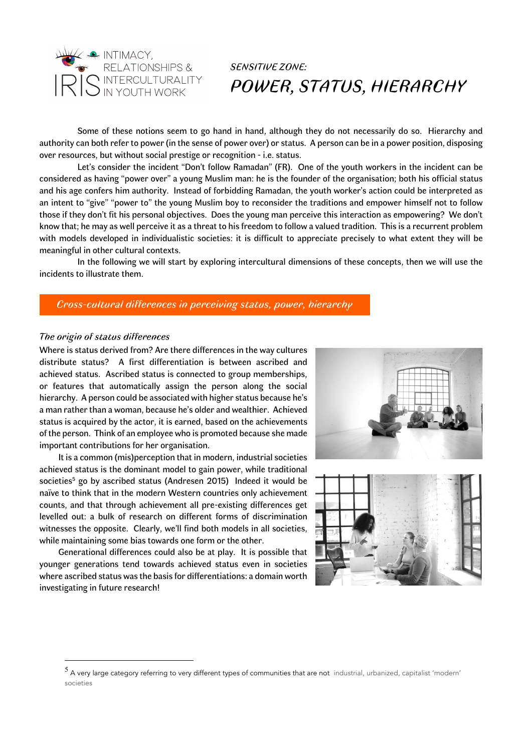

Some of these notions seem to go hand in hand, although they do not necessarily do so. Hierarchy and authority can both refer to power (in the sense of power over) or status. A person can be in a power position, disposing over resources, but without social prestige or recognition - i.e. status.

Let's consider the incident "Don't follow Ramadan" (FR). One of the youth workers in the incident can be considered as having "power over" a young Muslim man: he is the founder of the organisation; both his official status and his age confers him authority. Instead of forbidding Ramadan, the youth worker's action could be interpreted as an intent to "give" "power to" the young Muslim boy to reconsider the traditions and empower himself not to follow those if they don't fit his personal objectives. Does the young man perceive this interaction as empowering? We don't know that; he may as well perceive it as a threat to his freedom to follow a valued tradition. This is a recurrent problem with models developed in individualistic societies: it is difficult to appreciate precisely to what extent they will be meaningful in other cultural contexts.

In the following we will start by exploring intercultural dimensions of these concepts, then we will use the incidents to illustrate them.

#### *Cross-cultural differences in perceiving status, power, hierarchy*

#### *The origin of status differences*

Where is status derived from? Are there differences in the way cultures distribute status? A first differentiation is between ascribed and achieved status. Ascribed status is connected to group memberships, or features that automatically assign the person along the social hierarchy. A person could be associated with higher status because he's a man rather than a woman, because he's older and wealthier. Achieved status is acquired by the actor, it is earned, based on the achievements of the person. Think of an employee who is promoted because she made important contributions for her organisation.

It is a common (mis)perception that in modern, industrial societies achieved status is the dominant model to gain power, while traditional societies<sup>5</sup> go by ascribed status (Andresen 2015) Indeed it would be naïve to think that in the modern Western countries only achievement counts, and that through achievement all pre-existing differences get levelled out: a bulk of research on different forms of discrimination witnesses the opposite. Clearly, we'll find both models in all societies, while maintaining some bias towards one form or the other.

Generational differences could also be at play. It is possible that younger generations tend towards achieved status even in societies where ascribed status was the basis for differentiations: a domain worth investigating in future research!





<sup>5</sup> A very large category referring to very different types of communities that are not industrial, urbanized, capitalist 'modern' societies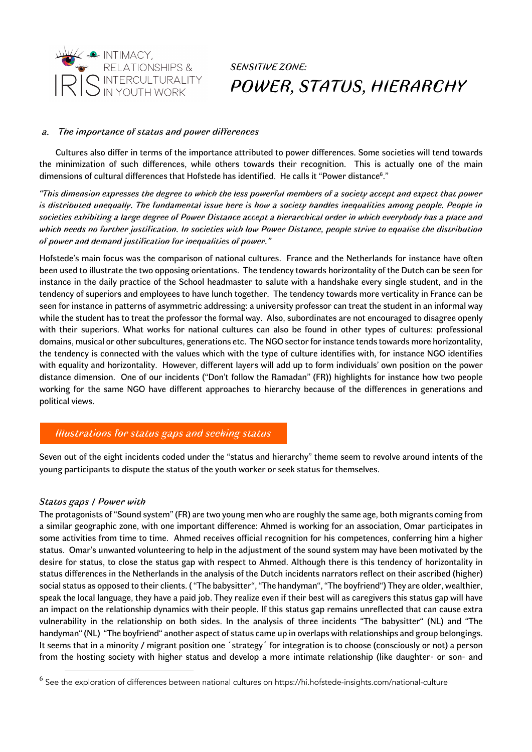

### *a. The importance of status and power differences*

Cultures also differ in terms of the importance attributed to power differences. Some societies will tend towards the minimization of such differences, while others towards their recognition. This is actually one of the main dimensions of cultural differences that Hofstede has identified. He calls it "Power distance6 ."

*"This dimension expresses the degree to which the less powerful members of a society accept and expect that power is distributed unequally. The fundamental issue here is how a society handles inequalities among people. People in societies exhibiting a large degree of Power Distance accept a hierarchical order in which everybody has a place and which needs no further justification. In societies with low Power Distance, people strive to equalise the distribution of power and demand justification for inequalities of power."*

Hofstede's main focus was the comparison of national cultures. France and the Netherlands for instance have often been used to illustrate the two opposing orientations. The tendency towards horizontality of the Dutch can be seen for instance in the daily practice of the School headmaster to salute with a handshake every single student, and in the tendency of superiors and employees to have lunch together. The tendency towards more verticality in France can be seen for instance in patterns of asymmetric addressing: a university professor can treat the student in an informal way while the student has to treat the professor the formal way. Also, subordinates are not encouraged to disagree openly with their superiors. What works for national cultures can also be found in other types of cultures: professional domains, musical or other subcultures, generations etc. The NGO sector for instance tends towards more horizontality, the tendency is connected with the values which with the type of culture identifies with, for instance NGO identifies with equality and horizontality. However, different layers will add up to form individuals' own position on the power distance dimension. One of our incidents ("Don't follow the Ramadan" (FR)) highlights for instance how two people working for the same NGO have different approaches to hierarchy because of the differences in generations and political views.

### *Illustrations for status gaps and seeking status*

Seven out of the eight incidents coded under the "status and hierarchy" theme seem to revolve around intents of the young participants to dispute the status of the youth worker or seek status for themselves.

#### *Status gaps / Power with*

The protagonists of "Sound system" (FR) are two young men who are roughly the same age, both migrants coming from a similar geographic zone, with one important difference: Ahmed is working for an association, Omar participates in some activities from time to time. Ahmed receives official recognition for his competences, conferring him a higher status. Omar's unwanted volunteering to help in the adjustment of the sound system may have been motivated by the desire for status, to close the status gap with respect to Ahmed. Although there is this tendency of horizontality in status differences in the Netherlands in the analysis of the Dutch incidents narrators reflect on their ascribed (higher) social status as opposed to their clients. ( "The babysitter", "The handyman", "The boyfriend") They are older, wealthier, speak the local language, they have a paid job. They realize even if their best will as caregivers this status gap will have an impact on the relationship dynamics with their people. If this status gap remains unreflected that can cause extra vulnerability in the relationship on both sides. In the analysis of three incidents "The babysitter" (NL) and "The handyman" (NL) "The boyfriend" another aspect of status came up in overlaps with relationships and group belongings. It seems that in a minority / migrant position one 'strategy' for integration is to choose (consciously or not) a person from the hosting society with higher status and develop a more intimate relationship (like daughter- or son- and

 $^6$  See the exploration of differences between national cultures on https://hi.hofstede-insights.com/national-culture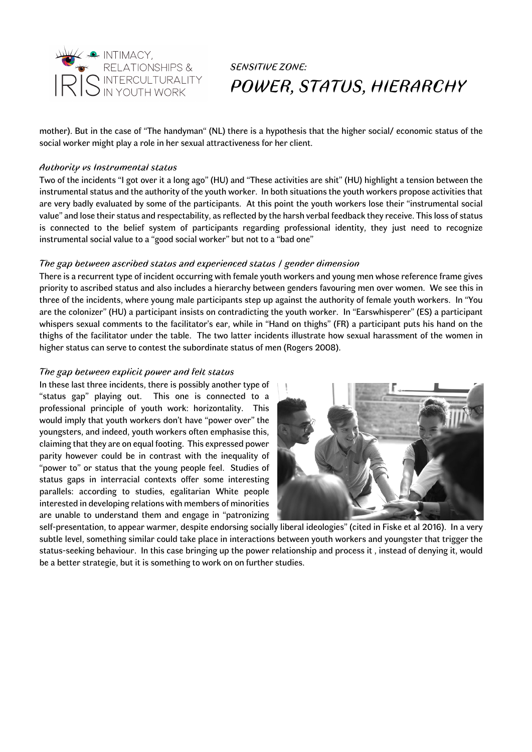

mother). But in the case of "The handyman" (NL) there is a hypothesis that the higher social/ economic status of the social worker might play a role in her sexual attractiveness for her client.

#### *Authority vs Instrumental status*

Two of the incidents "I got over it a long ago" (HU) and "These activities are shit" (HU) highlight a tension between the instrumental status and the authority of the youth worker. In both situations the youth workers propose activities that are very badly evaluated by some of the participants. At this point the youth workers lose their "instrumental social value" and lose their status and respectability, as reflected by the harsh verbal feedback they receive. This loss of status is connected to the belief system of participants regarding professional identity, they just need to recognize instrumental social value to a "good social worker" but not to a "bad one"

### *The gap between ascribed status and experienced status / gender dimension*

There is a recurrent type of incident occurring with female youth workers and young men whose reference frame gives priority to ascribed status and also includes a hierarchy between genders favouring men over women. We see this in three of the incidents, where young male participants step up against the authority of female youth workers. In "You are the colonizer" (HU) a participant insists on contradicting the youth worker. In "Earswhisperer" (ES) a participant whispers sexual comments to the facilitator's ear, while in "Hand on thighs" (FR) a participant puts his hand on the thighs of the facilitator under the table. The two latter incidents illustrate how sexual harassment of the women in higher status can serve to contest the subordinate status of men (Rogers 2008).

#### *The gap between explicit power and felt status*

In these last three incidents, there is possibly another type of "status gap" playing out. This one is connected to a professional principle of youth work: horizontality. This would imply that youth workers don't have "power over" the youngsters, and indeed, youth workers often emphasise this, claiming that they are on equal footing. This expressed power parity however could be in contrast with the inequality of "power to" or status that the young people feel. Studies of status gaps in interracial contexts offer some interesting parallels: according to studies, egalitarian White people interested in developing relations with members of minorities are unable to understand them and engage in "patronizing



self-presentation, to appear warmer, despite endorsing socially liberal ideologies" (cited in Fiske et al 2016). In a very subtle level, something similar could take place in interactions between youth workers and youngster that trigger the status-seeking behaviour. In this case bringing up the power relationship and process it , instead of denying it, would be a better strategie, but it is something to work on on further studies.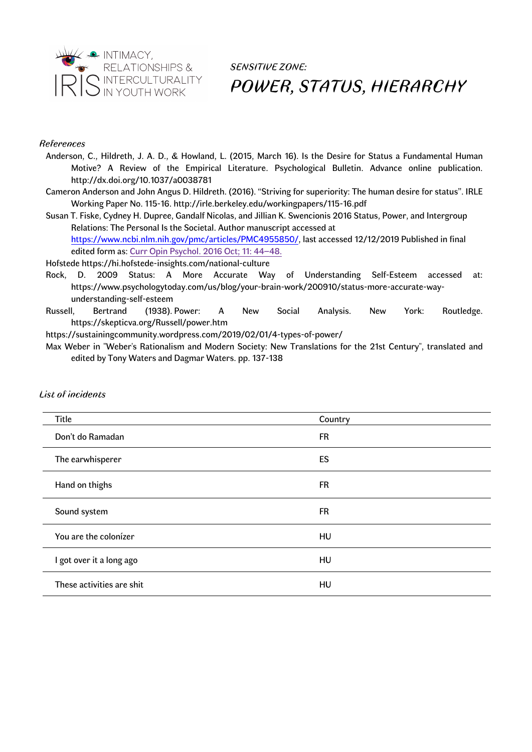

#### *References*

- Anderson, C., Hildreth, J. A. D., & Howland, L. (2015, March 16). Is the Desire for Status a Fundamental Human Motive? A Review of the Empirical Literature. Psychological Bulletin. Advance online publication. http://dx.doi.org/10.1037/a0038781
- Cameron Anderson and John Angus D. Hildreth. (2016). "Striving for superiority: The human desire for status". IRLE Working Paper No. 115-16. http://irle.berkeley.edu/workingpapers/115-16.pdf
- Susan T. Fiske, Cydney H. Dupree, Gandalf Nicolas, and Jillian K. Swencionis 2016 Status, Power, and Intergroup Relations: The Personal Is the Societal. Author manuscript accessed at https://www.ncbi.nlm.nih.gov/pmc/articles/PMC4955850/, last accessed 12/12/2019 Published in final edited form as: Curr Opin Psychol. 2016 Oct; 11: 44–48.

Hofstede https://hi.hofstede-insights.com/national-culture

- Rock, D. 2009 Status: A More Accurate Way of Understanding Self-Esteem accessed at: https://www.psychologytoday.com/us/blog/your-brain-work/200910/status-more-accurate-wayunderstanding-self-esteem
- Russell, Bertrand (1938). Power: A New Social Analysis. New York: Routledge. https://skepticva.org/Russell/power.htm

https://sustainingcommunity.wordpress.com/2019/02/01/4-types-of-power/

Max Weber in "Weber's Rationalism and Modern Society: New Translations for the 21st Century", translated and edited by Tony Waters and Dagmar Waters. pp. 137-138

| Title                     | Country   |
|---------------------------|-----------|
| Don't do Ramadan          | <b>FR</b> |
| The earwhisperer          | ES        |
| Hand on thighs            | <b>FR</b> |
| Sound system              | FR        |
| You are the colonizer     | HU        |
| I got over it a long ago  | HU        |
| These activities are shit | HU        |

#### *List of incidents*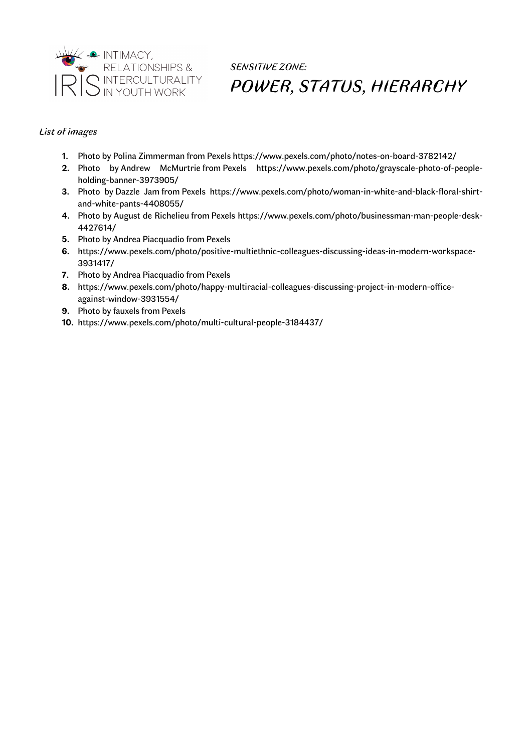

### *List of images*

- **1.** Photo by Polina Zimmerman from Pexels https://www.pexels.com/photo/notes-on-board-3782142/
- **2.** Photo by Andrew McMurtrie from Pexels https://www.pexels.com/photo/grayscale-photo-of-peopleholding-banner-3973905/
- **3.** Photo by Dazzle Jam from Pexels https://www.pexels.com/photo/woman-in-white-and-black-floral-shirtand-white-pants-4408055/
- **4.** Photo by August de Richelieu from Pexels https://www.pexels.com/photo/businessman-man-people-desk-4427614/
- **5.** Photo by Andrea Piacquadio from Pexels
- **6.** https://www.pexels.com/photo/positive-multiethnic-colleagues-discussing-ideas-in-modern-workspace-3931417/
- **7.** Photo by Andrea Piacquadio from Pexels
- **8.** https://www.pexels.com/photo/happy-multiracial-colleagues-discussing-project-in-modern-officeagainst-window-3931554/
- **9.** Photo by fauxels from Pexels
- **10.** https://www.pexels.com/photo/multi-cultural-people-3184437/